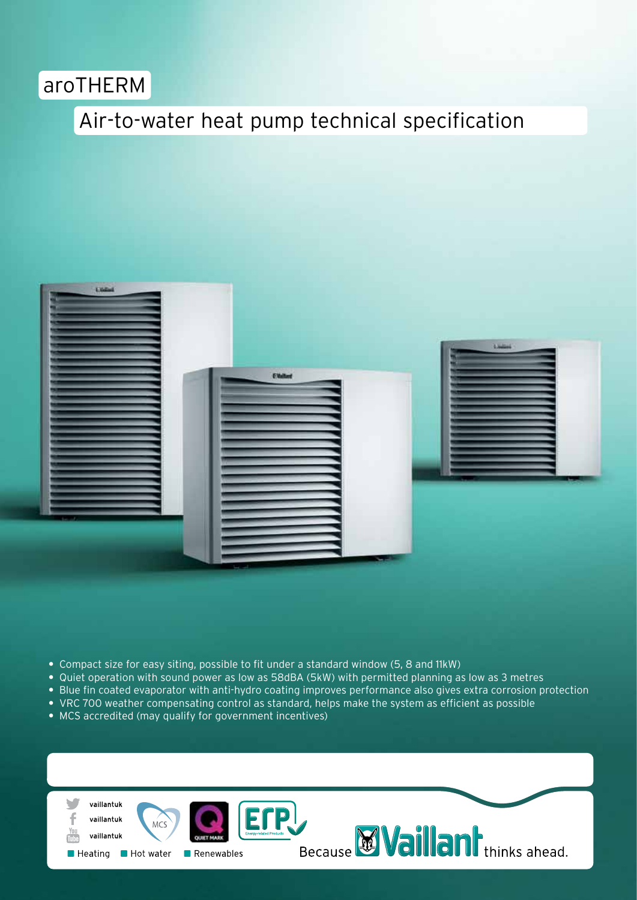## aroTHERM

## Air-to-water heat pump technical specification



- **•** Compact size for easy siting, possible to fit under a standard window (5, 8 and 11kW)
- **•** Quiet operation with sound power as low as 58dBA (5kW) with permitted planning as low as 3 metres
- **•** Blue fin coated evaporator with anti-hydro coating improves performance also gives extra corrosion protection
- VRC 700 weather compensating control as standard, helps make the system as efficient as possible
- **•** MCS accredited (may qualify for government incentives)

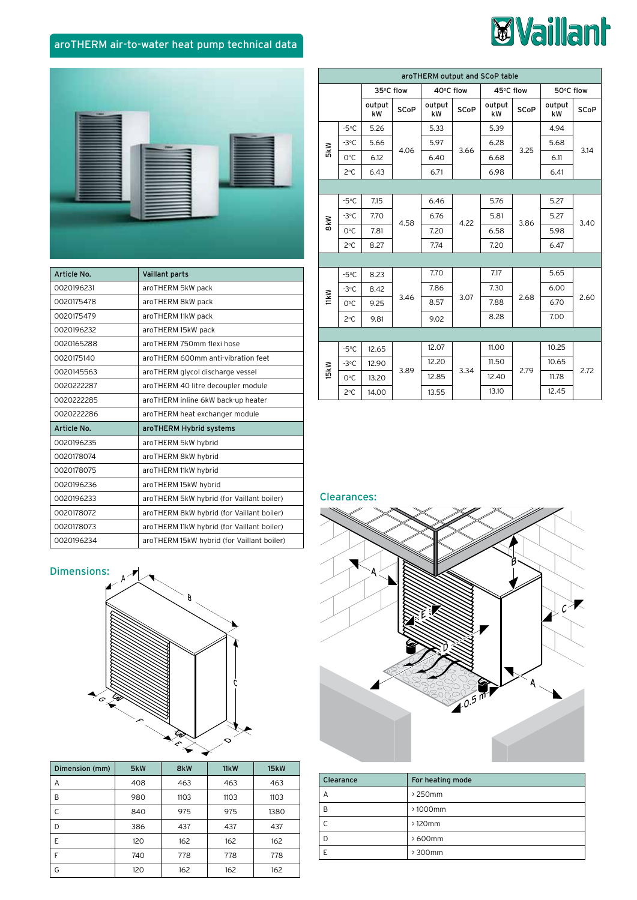# **Waillant**

### aroTHERM air-to-water heat pump technical data



| Article No. | <b>Vaillant parts</b>                      |               |
|-------------|--------------------------------------------|---------------|
| 0020196231  | aroTHERM 5kW pack                          |               |
| 0020175478  | aroTHERM 8kW pack                          | <b>ITIK W</b> |
| 0020175479  | aroTHERM 11kW pack                         |               |
| 0020196232  | aroTHERM 15kW pack                         |               |
| 0020165288  | aroTHERM 750mm flexi hose                  |               |
| 0020175140  | aroTHERM 600mm anti-vibration feet         |               |
| 0020145563  | aroTHERM glycol discharge vessel           | <b>ISKW</b>   |
| 0020222287  | aroTHERM 40 litre decoupler module         |               |
| 0020222285  | aroTHERM inline 6kW back-up heater         |               |
| 0020222286  | aroTHERM heat exchanger module             |               |
| Article No. | aroTHERM Hybrid systems                    |               |
| 0020196235  | aroTHERM 5kW hybrid                        |               |
| 0020178074  | aroTHERM 8kW hybrid                        |               |
| 0020178075  | aroTHERM 11kW hybrid                       |               |
| 0020196236  | aroTHERM 15kW hybrid                       |               |
| 0020196233  | aroTHERM 5kW hybrid (for Vaillant boiler)  | СI            |
| 0020178072  | aroTHERM 8kW hybrid (for Vaillant boiler)  |               |
| 0020178073  | aroTHERM 11kW hybrid (for Vaillant boiler) |               |
| 0020196234  | aroTHERM 15kW hybrid (for Vaillant boiler) |               |

| aroTHERM output and SCoP table |                |              |             |              |             |              |             |              |             |  |
|--------------------------------|----------------|--------------|-------------|--------------|-------------|--------------|-------------|--------------|-------------|--|
|                                |                |              | 35°C flow   |              | 40°C flow   |              | 45°C flow   |              | 50°C flow   |  |
|                                |                | output<br>kW | <b>SCoP</b> | output<br>kW | <b>SCoP</b> | output<br>kW | <b>SCoP</b> | output<br>kW | <b>SCoP</b> |  |
|                                | $-5^{\circ}$ C | 5.26         | 4.06        | 5.33         | 3.66        | 5.39         | 3.25        | 4.94         | 3.14        |  |
| <b>SkW</b>                     | $-3$ °C        | 5.66         |             | 5.97         |             | 6.28         |             | 5.68         |             |  |
|                                | 0°C            | 6.12         |             | 6.40         |             | 6.68         |             | 6.11         |             |  |
|                                | 2°C            | 6.43         |             | 6.71         |             | 6.98         |             | 6.41         |             |  |
|                                |                |              |             |              |             |              |             |              |             |  |
|                                | $-5^{\circ}$ C | 7.15         |             | 6.46         | 4.22        | 5.76         | 3.86        | 5.27         | 3.40        |  |
| 8kW                            | $-3$ °C        | 7.70         | 4.58        | 6.76         |             | 5.81         |             | 5.27         |             |  |
|                                | 0°C            | 7.81         |             | 7.20         |             | 6.58         |             | 5.98         |             |  |
|                                | 2°C            | 8.27         |             | 7.74         |             | 7.20         |             | 6.47         |             |  |
|                                |                |              |             |              |             |              |             |              |             |  |
|                                | $-5^{\circ}$ C | 8.23         | 3.46        | 7.70         | 3.07        | 7.17         | 2.68        | 5.65         | 2.60        |  |
|                                | $-3$ °C        | 8.42         |             | 7.86         |             | 7.30         |             | 6.00         |             |  |
| <b>11kW</b>                    | 0°C            | 9.25         |             | 8.57         |             | 7.88         |             | 6.70         |             |  |
|                                | 2°C            | 9.81         |             | 9.02         |             | 8.28         |             | 7.00         |             |  |
|                                |                |              |             |              |             |              |             |              |             |  |
|                                | $-5^{\circ}$ C | 12.65        | 3.89        | 12.07        | 3.34        | 11.00        | 2.79        | 10.25        | 2.72        |  |
| <b>15kW</b>                    | $-3$ °C        | 12.90        |             | 12.20        |             | 11.50        |             | 10.65        |             |  |
|                                | 0°C            | 13.20        |             | 12.85        |             | 12.40        |             | 11.78        |             |  |
|                                | $2^{\circ}$ C  | 14.00        |             | 13.55        |             | 13.10        |             | 12.45        |             |  |

#### learances:



Л



| Dimension (mm) | 5kW | 8kW  | 11kW | <b>15kW</b> |
|----------------|-----|------|------|-------------|
| Α              | 408 | 463  | 463  | 463         |
| B              | 980 | 1103 | 1103 | 1103        |
| С              | 840 | 975  | 975  | 1380        |
| D              | 386 | 437  | 437  | 437         |
| E              | 120 | 162  | 162  | 162         |
| F              | 740 | 778  | 778  | 778         |
| G              | 120 | 162  | 162  | 162         |



| Clearance | For heating mode |
|-----------|------------------|
| А         | > 250mm          |
| R         | $>1000$ mm       |
|           | $>120$ mm        |
|           | >600mm           |
|           | > 300mm          |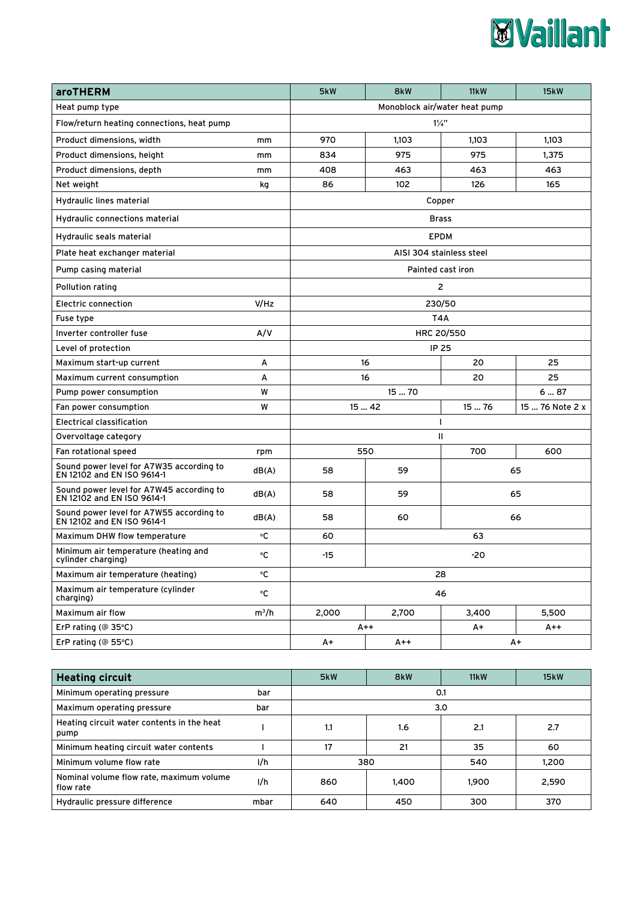

| <b>aroTHERM</b>                                                        |                               | 5kW              | 8kW               | 11kW                     | <b>15kW</b>     |  |
|------------------------------------------------------------------------|-------------------------------|------------------|-------------------|--------------------------|-----------------|--|
| Heat pump type                                                         | Monoblock air/water heat pump |                  |                   |                          |                 |  |
| Flow/return heating connections, heat pump                             | $1\frac{1}{4}$                |                  |                   |                          |                 |  |
| Product dimensions, width<br>mm                                        |                               | 970              | 1,103             | 1,103                    | 1,103           |  |
| Product dimensions, height                                             | mm                            | 834              | 975               | 975                      | 1,375           |  |
| Product dimensions, depth                                              | mm                            | 408              | 463               | 463                      | 463             |  |
| Net weight                                                             | kg                            | 86               | 102               | 126                      | 165             |  |
| Hydraulic lines material                                               |                               | Copper           |                   |                          |                 |  |
| Hydraulic connections material                                         |                               |                  |                   | <b>Brass</b>             |                 |  |
| Hydraulic seals material                                               |                               |                  |                   | <b>EPDM</b>              |                 |  |
| Plate heat exchanger material                                          |                               |                  |                   | AISI 304 stainless steel |                 |  |
| Pump casing material                                                   |                               |                  | Painted cast iron |                          |                 |  |
| Pollution rating                                                       |                               |                  |                   | $\overline{2}$           |                 |  |
| Electric connection                                                    | V/Hz                          |                  | 230/50            |                          |                 |  |
| Fuse type                                                              |                               |                  | T4A               |                          |                 |  |
| Inverter controller fuse                                               | A/V                           |                  | HRC 20/550        |                          |                 |  |
| Level of protection                                                    |                               | IP 25            |                   |                          |                 |  |
| Maximum start-up current                                               | А                             |                  | 16                | 20                       | 25              |  |
| Maximum current consumption                                            | A                             |                  | 25<br>16<br>20    |                          |                 |  |
| W<br>Pump power consumption                                            |                               | 1570<br>687      |                   |                          |                 |  |
| Fan power consumption                                                  | W                             | 15  42<br>15  76 |                   |                          | 15  76 Note 2 x |  |
| <b>Electrical classification</b>                                       |                               | $\mathbf{I}$     |                   |                          |                 |  |
| Overvoltage category                                                   |                               | Ш                |                   |                          |                 |  |
| Fan rotational speed                                                   | rpm                           | 550              |                   | 700<br>600               |                 |  |
| Sound power level for A7W35 according to<br>EN 12102 and EN ISO 9614-1 | dB(A)                         | 58               | 59                | 65                       |                 |  |
| Sound power level for A7W45 according to<br>EN 12102 and EN ISO 9614-1 | dB(A)                         | 58               | 59                | 65                       |                 |  |
| Sound power level for A7W55 according to<br>EN 12102 and EN ISO 9614-1 | dB(A)                         | 58               | 60                | 66                       |                 |  |
| Maximum DHW flow temperature                                           | ۰c                            | 60               |                   | 63                       |                 |  |
| Minimum air temperature (heating and<br>cylinder charging)             | °C                            | $-15$            | -20               |                          |                 |  |
| Maximum air temperature (heating)                                      | ۰c                            | 28               |                   |                          |                 |  |
| Maximum air temperature (cylinder<br>charging)                         | °C                            | 46               |                   |                          |                 |  |
| Maximum air flow                                                       | $m^3/h$                       |                  | 2,700             | 3,400                    | 5,500           |  |
| ErP rating (@ 35°C)                                                    |                               | $A++$<br>A+      |                   | $A++$                    |                 |  |
| ErP rating ( $@$ 55 $°C$ )                                             |                               | A+               | A++               | A+                       |                 |  |

| <b>Heating circuit</b>                                       |     | 5kW | 8kW   | 11kW  | 15kW  |  |  |
|--------------------------------------------------------------|-----|-----|-------|-------|-------|--|--|
| Minimum operating pressure<br>bar                            |     | 0.1 |       |       |       |  |  |
| Maximum operating pressure<br>bar                            |     | 3.0 |       |       |       |  |  |
| Heating circuit water contents in the heat<br>pump           |     | 1.1 | 1.6   | 2.1   | 2.7   |  |  |
| Minimum heating circuit water contents                       |     | 17  | 21    | 35    | 60    |  |  |
| Minimum volume flow rate                                     | 1/h | 380 |       | 540   | 1.200 |  |  |
| Nominal volume flow rate, maximum volume<br>1/h<br>flow rate |     | 860 | 1,400 | 1.900 | 2,590 |  |  |
| Hydraulic pressure difference<br>mbar                        |     | 640 | 450   | 300   | 370   |  |  |